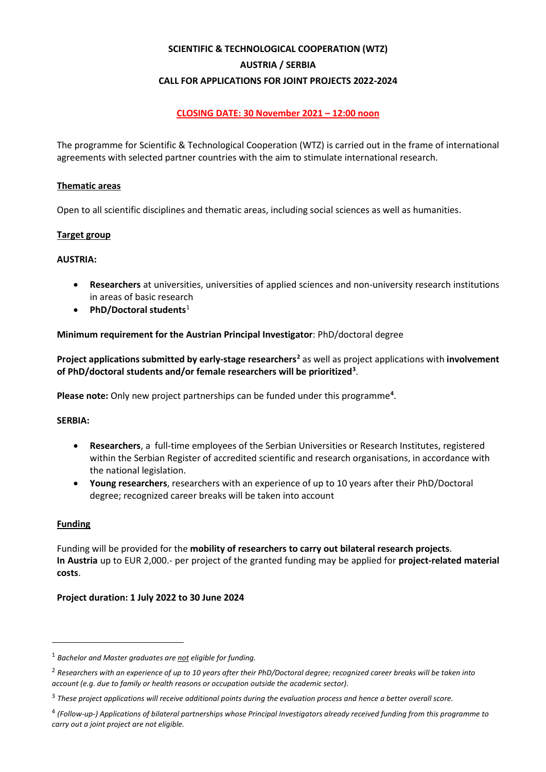# **SCIENTIFIC & TECHNOLOGICAL COOPERATION (WTZ) AUSTRIA / SERBIA CALL FOR APPLICATIONS FOR JOINT PROJECTS 2022-2024**

# **CLOSING DATE: 30 November 2021 – 12:00 noon**

The programme for Scientific & Technological Cooperation (WTZ) is carried out in the frame of international agreements with selected partner countries with the aim to stimulate international research.

#### **Thematic areas**

Open to all scientific disciplines and thematic areas, including social sciences as well as humanities.

#### **Target group**

#### **AUSTRIA:**

- **Researchers** at universities, universities of applied sciences and non-university research institutions in areas of basic research
- **PhD/Doctoral students**[1](#page-0-0)

#### **Minimum requirement for the Austrian Principal Investigator**: PhD/doctoral degree

**Project applications submitted by early-stage researchers[2](#page-0-1)** as well as project applications with **involvement of PhD/doctoral students and/or female researchers will be prioritized[3](#page-0-2)** .

Please note: Only new project partnerships can be funded under this programme<sup>[4](#page-0-3)</sup>.

#### **SERBIA:**

- **Researchers**, a full-time employees of the Serbian Universities or Research Institutes, registered within the Serbian Register of accredited scientific and research organisations, in accordance with the national legislation.
- **Young researchers**, researchers with an experience of up to 10 years after their PhD/Doctoral degree; recognized career breaks will be taken into account

#### **Funding**

Funding will be provided for the **mobility of researchers to carry out bilateral research projects**. **In Austria** up to EUR 2,000.- per project of the granted funding may be applied for **project-related material costs**.

#### **Project duration: 1 July 2022 to 30 June 2024**

<span id="page-0-0"></span><sup>1</sup> *Bachelor and Master graduates are not eligible for funding.*

<span id="page-0-1"></span><sup>2</sup> *Researchers with an experience of up to 10 years after their PhD/Doctoral degree; recognized career breaks will be taken into account (e.g. due to family or health reasons or occupation outside the academic sector).*

<span id="page-0-2"></span><sup>3</sup> *These project applications will receive additional points during the evaluation process and hence a better overall score.*

<span id="page-0-3"></span><sup>4</sup> *(Follow-up-) Applications of bilateral partnerships whose Principal Investigators already received funding from this programme to carry out a joint project are not eligible.*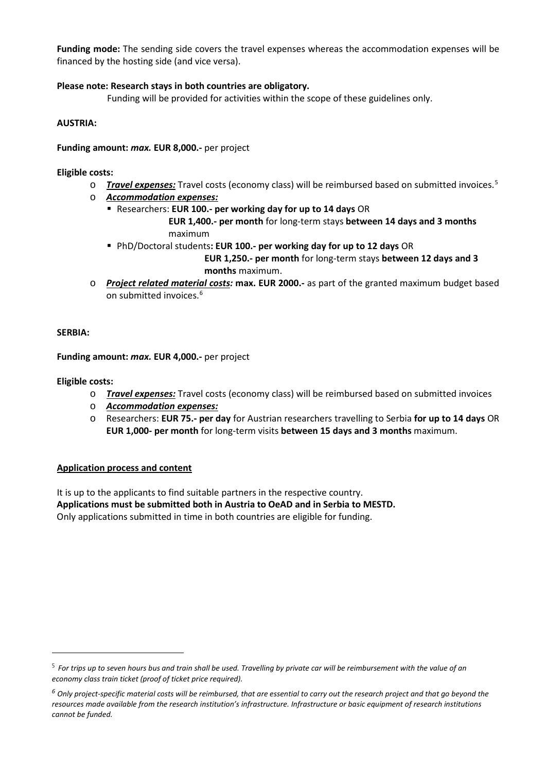**Funding mode:** The sending side covers the travel expenses whereas the accommodation expenses will be financed by the hosting side (and vice versa).

## **Please note: Research stays in both countries are obligatory.**

Funding will be provided for activities within the scope of these guidelines only.

#### **AUSTRIA:**

**Funding amount:** *max.* **EUR 8,000.-** per project

#### **Eligible costs:**

- o *Travel expenses:* Travel costs (economy class) will be reimbursed based on submitted invoices.[5](#page-1-0)
- o *Accommodation expenses:*
	- Researchers: **EUR 100.- per working day for up to 14 days** OR

 **EUR 1,400.- per month** for long-term stays **between 14 days and 3 months** maximum

- PhD/Doctoral students**: EUR 100.- per working day for up to 12 days** OR  **EUR 1,250.- per month** for long-term stays **between 12 days and 3 months** maximum.
- o *Project related material costs:* **max. EUR 2000.-** as part of the granted maximum budget based on submitted invoices.<sup>[6](#page-1-1)</sup>

#### **SERBIA:**

**Funding amount:** *max.* **EUR 4,000.-** per project

#### **Eligible costs:**

- o *Travel expenses:* Travel costs (economy class) will be reimbursed based on submitted invoices
- o *Accommodation expenses:*
- o Researchers: **EUR 75.- per day** for Austrian researchers travelling to Serbia **for up to 14 days** OR **EUR 1,000- per month** for long-term visits **between 15 days and 3 months** maximum.

#### **Application process and content**

It is up to the applicants to find suitable partners in the respective country. **Applications must be submitted both in Austria to OeAD and in Serbia to MESTD.** Only applications submitted in time in both countries are eligible for funding.

<span id="page-1-0"></span><sup>5</sup> *For trips up to seven hours bus and train shall be used. Travelling by private car will be reimbursement with the value of an economy class train ticket (proof of ticket price required).*

<span id="page-1-1"></span>*<sup>6</sup> Only project-specific material costs will be reimbursed, that are essential to carry out the research project and that go beyond the resources made available from the research institution's infrastructure. Infrastructure or basic equipment of research institutions cannot be funded.*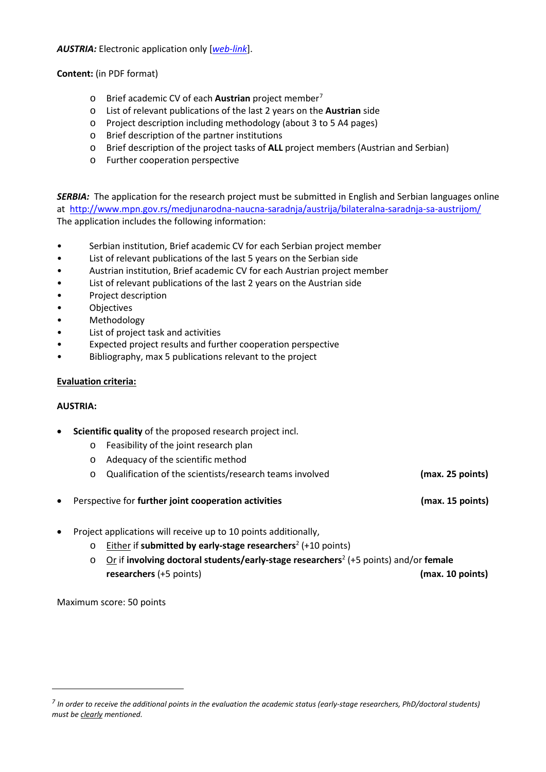*AUSTRIA:* Electronic application only [*[web-link](https://asp.sop.co.at/oead/antrag?call=SRB2022)*].

**Content:** (in PDF format)

- o Brief academic CV of each **Austrian** project member[7](#page-2-0)
- o List of relevant publications of the last 2 years on the **Austrian** side
- o Project description including methodology (about 3 to 5 A4 pages)
- o Brief description of the partner institutions
- o Brief description of the project tasks of **ALL** project members (Austrian and Serbian)
- o Further cooperation perspective

*SERBIA:* The application for the research project must be submitted in English and Serbian languages online at <http://www.mpn.gov.rs/medjunarodna-naucna-saradnja/austrija/bilateralna-saradnja-sa-austrijom/> The application includes the following information:

- Serbian institution, Brief academic CV for each Serbian project member
- List of relevant publications of the last 5 years on the Serbian side
- Austrian institution, Brief academic CV for each Austrian project member
- List of relevant publications of the last 2 years on the Austrian side
- Project description
- Objectives
- Methodology
- List of project task and activities
- Expected project results and further cooperation perspective
- Bibliography, max 5 publications relevant to the project

## **Evaluation criteria:**

#### **AUSTRIA:**

- **Scientific quality** of the proposed research project incl.
	- o Feasibility of the joint research plan
	- o Adequacy of the scientific method
	- o Qualification of the scientists/research teams involved **(max. 25 points)**
- Perspective for **further joint cooperation activities (max. 15 points)**
- Project applications will receive up to 10 points additionally,
	- o Either if **submitted by early-stage researchers**<sup>2</sup> (+10 points)
	- o Or if **involving doctoral students/early-stage researchers**<sup>2</sup> (+5 points) and/or **female researchers** (+5 points) **(max. 10 points)**

Maximum score: 50 points

<span id="page-2-0"></span>*<sup>7</sup> In order to receive the additional points in the evaluation the academic status (early-stage researchers, PhD/doctoral students) must be clearly mentioned.*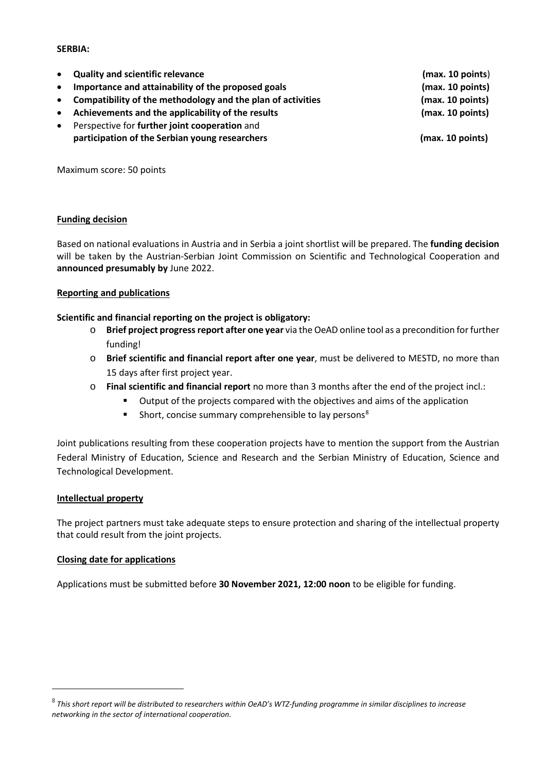#### **SERBIA:**

|           | • Quality and scientific relevance                          | (max. 10 points) |
|-----------|-------------------------------------------------------------|------------------|
| $\bullet$ | Importance and attainability of the proposed goals          | (max. 10 points) |
| $\bullet$ | Compatibility of the methodology and the plan of activities | (max. 10 points) |
| $\bullet$ | Achievements and the applicability of the results           | (max. 10 points) |
| $\bullet$ | Perspective for further joint cooperation and               |                  |
|           | participation of the Serbian young researchers              | (max. 10 points) |
|           |                                                             |                  |
|           |                                                             |                  |

Maximum score: 50 points

#### **Funding decision**

Based on national evaluations in Austria and in Serbia a joint shortlist will be prepared. The **funding decision** will be taken by the Austrian-Serbian Joint Commission on Scientific and Technological Cooperation and **announced presumably by** June 2022.

#### **Reporting and publications**

#### **Scientific and financial reporting on the project is obligatory:**

- o **Brief project progress report after one year** via the OeAD online tool as a precondition for further funding!
- o **Brief scientific and financial report after one year**, must be delivered to MESTD, no more than 15 days after first project year.
- o **Final scientific and financial report** no more than 3 months after the end of the project incl.:
	- Output of the projects compared with the objectives and aims of the application
	- Short, concise summary comprehensible to lay persons<sup>[8](#page-3-0)</sup>

Joint publications resulting from these cooperation projects have to mention the support from the Austrian Federal Ministry of Education, Science and Research and the Serbian Ministry of Education, Science and Technological Development.

#### **Intellectual property**

The project partners must take adequate steps to ensure protection and sharing of the intellectual property that could result from the joint projects.

#### **Closing date for applications**

Applications must be submitted before **30 November 2021, 12:00 noon** to be eligible for funding.

<span id="page-3-0"></span><sup>8</sup> *This short report will be distributed to researchers within OeAD's WTZ-funding programme in similar disciplines to increase networking in the sector of international cooperation.*